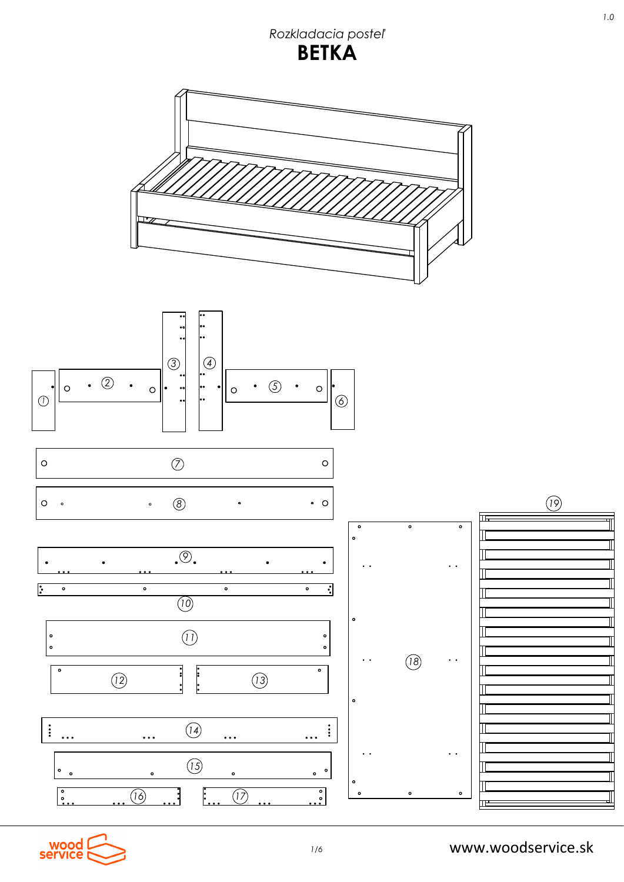









 $\ddot{\phantom{0}}$ 

*17*







 $\bullet$  $\ddot{\phantom{0}}$ 

 $\begin{array}{c} \circ \\ \circ \\ \circ \end{array}$ 

 $\circ$ 

 $\begin{array}{c} \bullet \\ \bullet \\ \bullet \end{array}$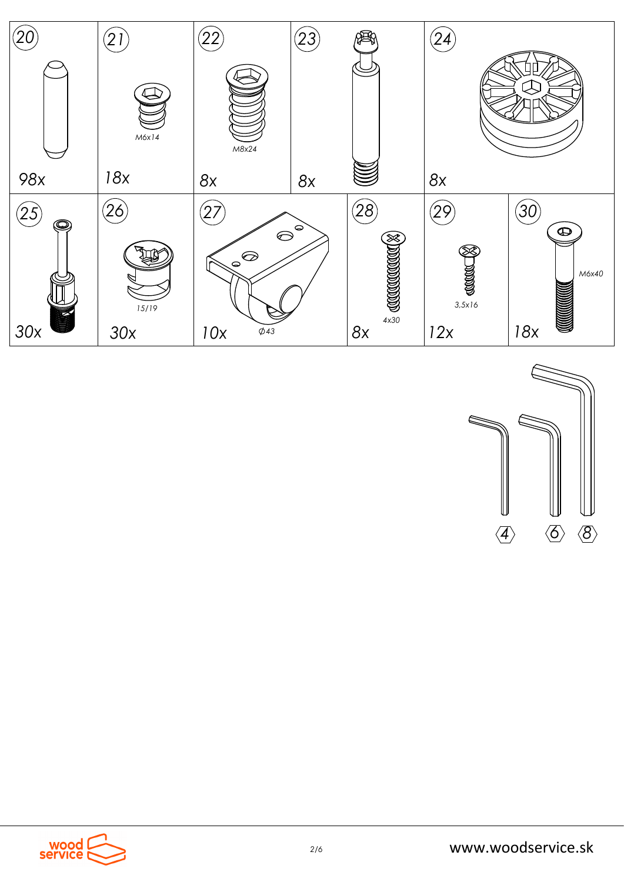



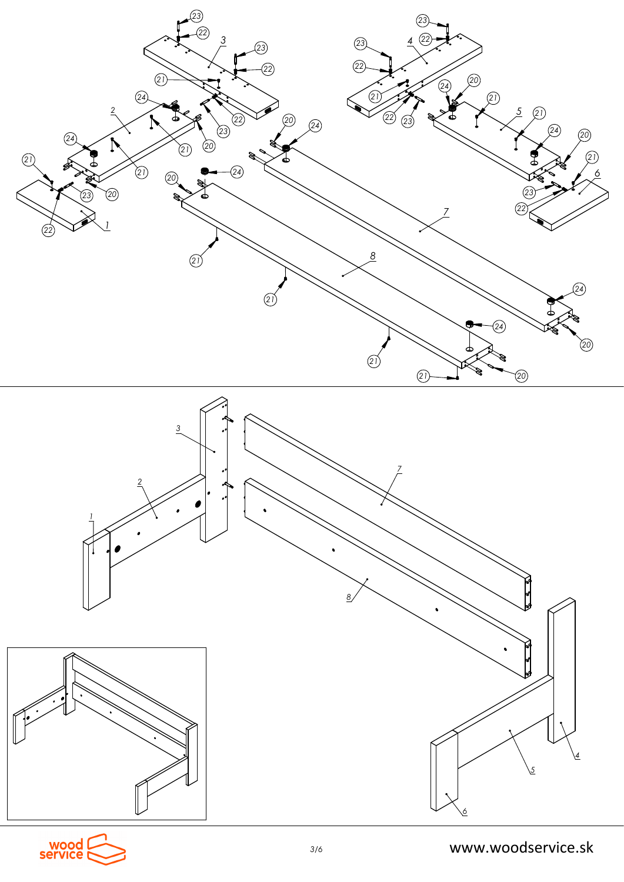

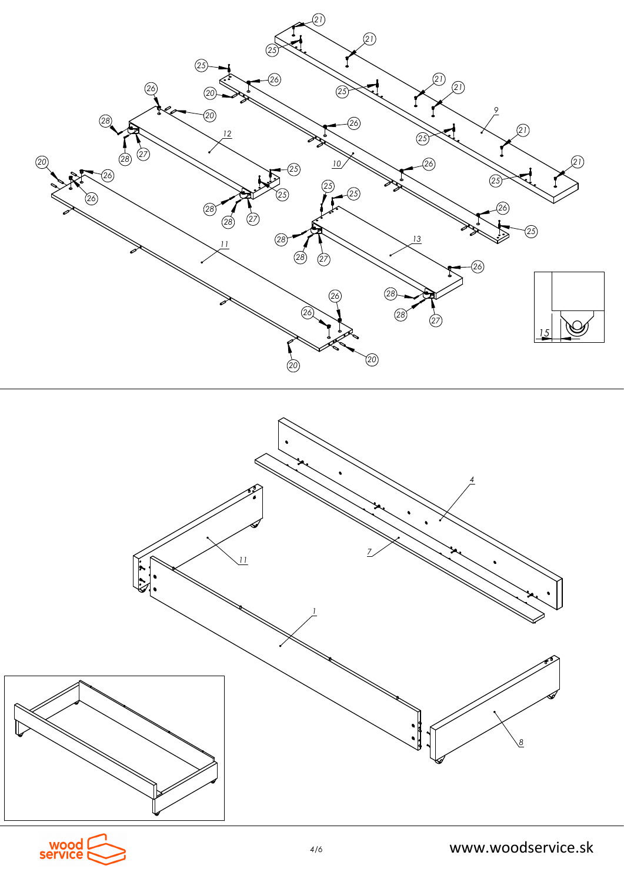

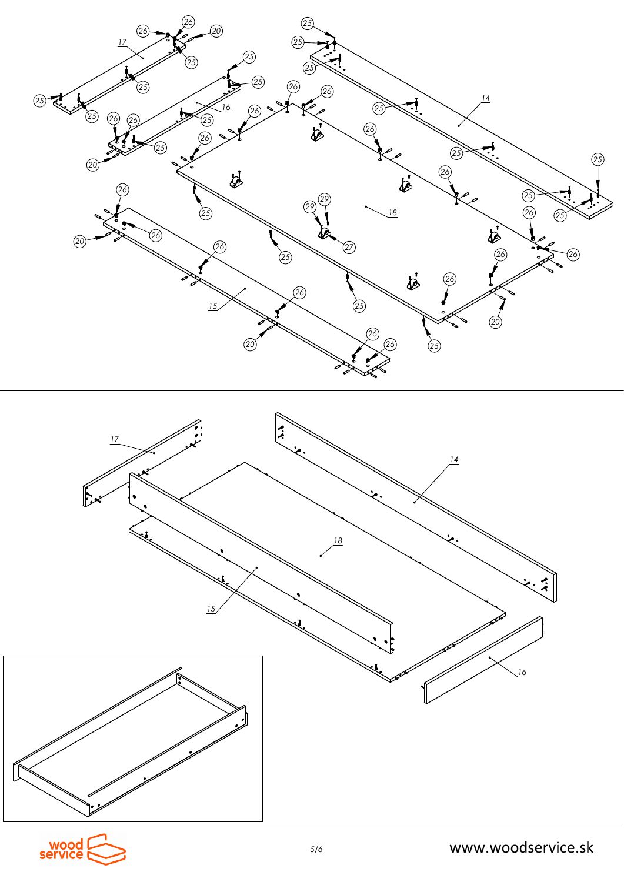